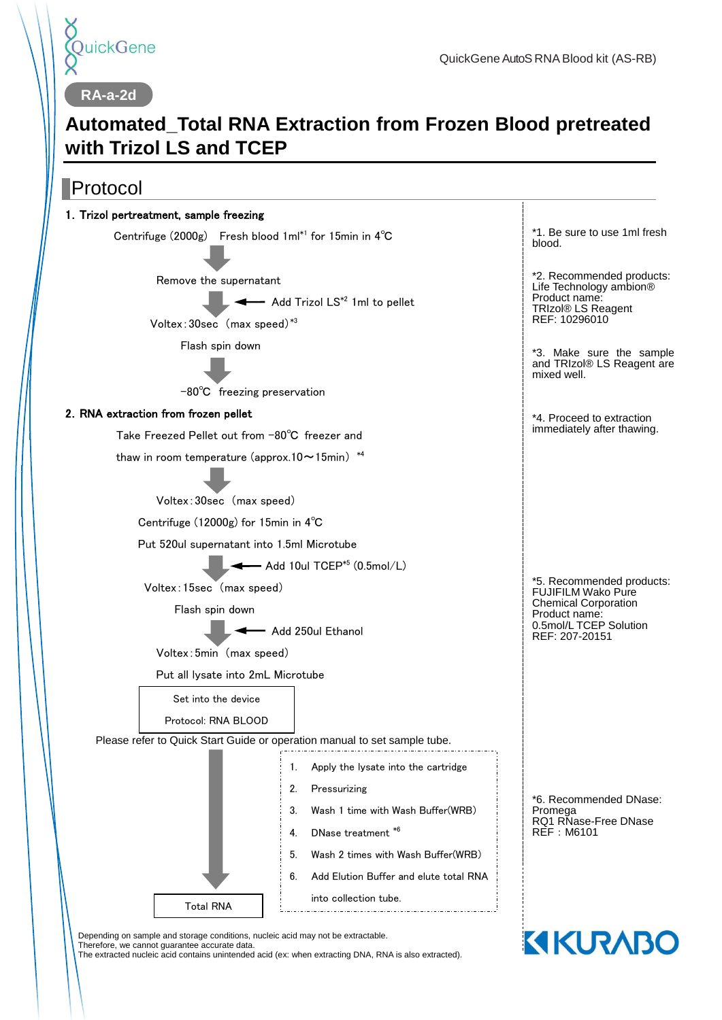

**KIKURABO** 

**RA-a-2d**

# **Automated\_Total RNA Extraction from Frozen Blood pretreated with Trizol LS and TCEP**

## Protocol



Depending on sample and storage conditions, nucleic acid may not be extractable.

Therefore, we cannot guarantee accurate data.

The extracted nucleic acid contains unintended acid (ex: when extracting DNA, RNA is also extracted).